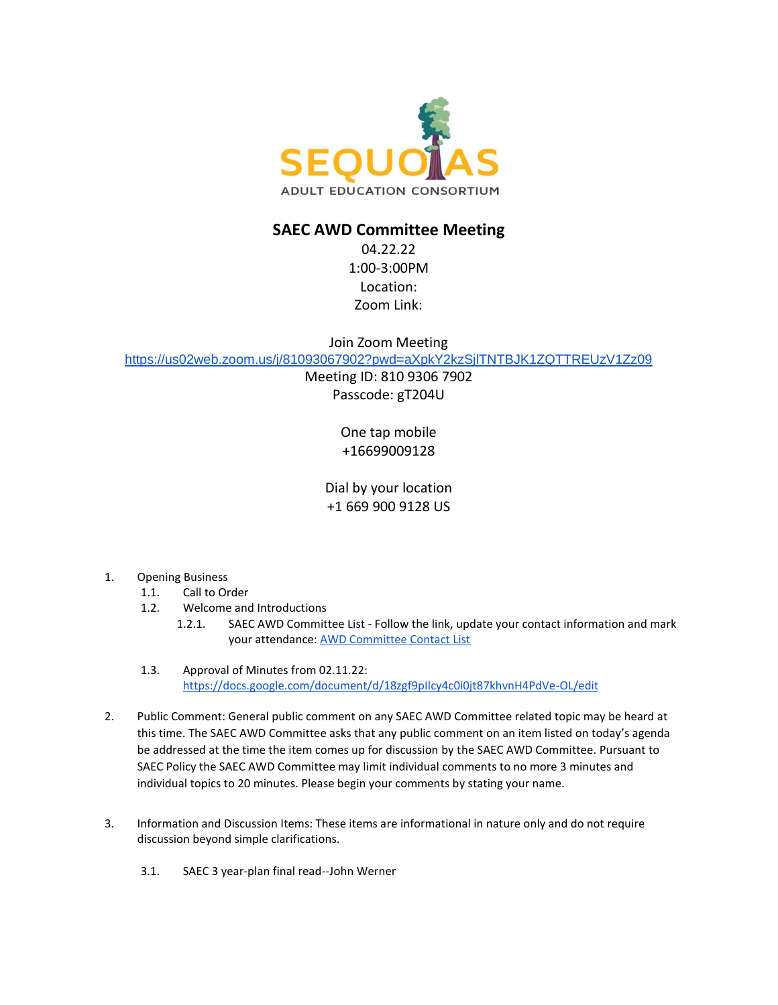

## **SAEC AWD Committee Meeting**

04.22.22 1:00-3:00PM Location: Zoom Link:

Join Zoom Meeting

<https://us02web.zoom.us/j/81093067902?pwd=aXpkY2kzSjlTNTBJK1ZQTTREUzV1Zz09>

Meeting ID: 810 9306 7902 Passcode: gT204U

> One tap mobile +16699009128

Dial by your location +1 669 900 9128 US

- 1. Opening Business
	- 1.1. Call to Order
	- 1.2. Welcome and Introductions
		- 1.2.1. SAEC AWD Committee List Follow the link, update your contact information and mark your attendance: [AWD Committee Contact List](https://docs.google.com/spreadsheets/d/1qVo3OSm-D4A9jbx0LkwMH1IKpFSUG64KkIsGH2sbJ6Y/edit#gid=0)
	- 1.3. Approval of Minutes from 02.11.22: <https://docs.google.com/document/d/18zgf9pIlcy4c0i0jt87khvnH4PdVe-OL/edit>
- 2. Public Comment: General public comment on any SAEC AWD Committee related topic may be heard at this time. The SAEC AWD Committee asks that any public comment on an item listed on today's agenda be addressed at the time the item comes up for discussion by the SAEC AWD Committee. Pursuant to SAEC Policy the SAEC AWD Committee may limit individual comments to no more 3 minutes and individual topics to 20 minutes. Please begin your comments by stating your name.
- 3. Information and Discussion Items: These items are informational in nature only and do not require discussion beyond simple clarifications.
	- 3.1. SAEC 3 year-plan final read--John Werner